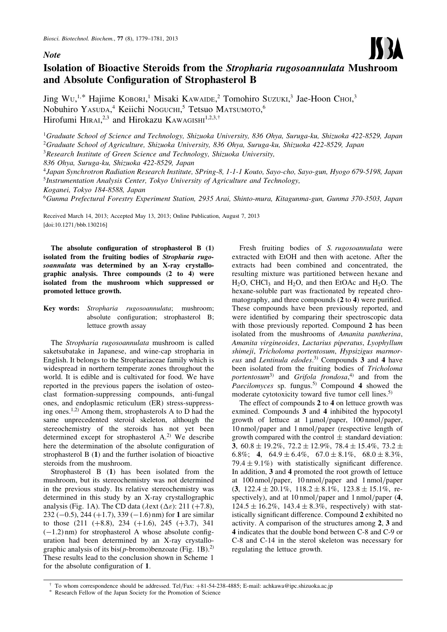## **Note**



# Isolation of Bioactive Steroids from the Stropharia rugosoannulata Mushroom and Absolute Configuration of Strophasterol B

Jing Wu,<sup>1,\*</sup> Hajime KOBORI,<sup>1</sup> Misaki KAWAIDE,<sup>2</sup> Tomohiro Suzuki,<sup>3</sup> Jae-Hoon Choi,<sup>3</sup> Nobuhiro Yasuda,<sup>4</sup> Keiichi Noguchi,<sup>5</sup> Tetsuo Matsumoto,<sup>6</sup> Hirofumi HIRAI,<sup>2,3</sup> and Hirokazu KAWAGISHI<sup>1,2,3,†</sup>

<sup>1</sup>Graduate School of Science and Technology, Shizuoka University, 836 Ohya, Suruga-ku, Shizuoka 422-8529, Japan  $^{2}$ Graduate School of Agriculture, Shizuoka University, 836 Ohya, Suruga-ku, Shizuoka 422-8529, Japan

 $3$ Research Institute of Green Science and Technology, Shizuoka University,

836 Ohya, Suruga-ku, Shizuoka 422-8529, Japan

<sup>4</sup>Japan Synchrotron Radiation Research Institute, SPring-8, 1-1-1 Kouto, Sayo-cho, Sayo-gun, Hyogo 679-5198, Japan <sup>5</sup>Instrumentation Analysis Center, Tokyo University of Agriculture and Technology,

Koganei, Tokyo 184-8588, Japan

<sup>6</sup>Gunma Prefectural Forestry Experiment Station, 2935 Arai, Shinto-mura, Kitagunma-gun, Gunma 370-3503, Japan

Received March 14, 2013; Accepted May 13, 2013; Online Publication, August 7, 2013 [\[doi:10.1271/bbb.130216\]](http://dx.doi.org/10.1271/bbb.130216)

The absolute configuration of strophasterol B (1) isolated from the fruiting bodies of Stropharia rugosoannulata was determined by an X-ray crystallographic analysis. Three compounds (2 to 4) were isolated from the mushroom which suppressed or promoted lettuce growth.

Key words: Stropharia rugosoannulata; mushroom; absolute configuration; strophasterol B; lettuce growth assay

The Stropharia rugosoannulata mushroom is called saketsubatake in Japanese, and wine-cap stropharia in English. It belongs to the Strophariaceae family which is widespread in northern temperate zones throughout the world. It is edible and is cultivated for food. We have reported in the previous papers the isolation of osteoclast formation-suppressing compounds, anti-fungal ones, and endoplasmic reticulum (ER) stress-suppressing ones.1,2) Among them, strophasterols A to D had the same unprecedented steroid skeleton, although the stereochemistry of the steroids has not yet been determined except for strophasterol  $A<sup>2</sup>$  We describe here the determination of the absolute configuration of strophasterol B (1) and the further isolation of bioactive steroids from the mushroom.

Strophasterol B (1) has been isolated from the mushroom, but its stereochemistry was not determined in the previous study. Its relative stereochemistry was determined in this study by an X-ray crystallographic analysis (Fig. 1A). The CD data ( $\lambda$ ext ( $\Delta \varepsilon$ ): 211 (+7.8), 232 (-0.5), 244 (+1.7), 339 (-1.6) nm) for 1 are similar to those  $(211 (+8.8), 234 (+1.6), 245 (+3.7), 341)$  $(-1.2)$  nm) for strophasterol A whose absolute configuration had been determined by an X-ray crystallographic analysis of its bis( $p$ -bromo)benzoate (Fig. 1B).<sup>2)</sup> These results lead to the conclusion shown in Scheme 1 for the absolute configuration of 1.

Fresh fruiting bodies of S. rugosoannulata were extracted with EtOH and then with acetone. After the extracts had been combined and concentrated, the resulting mixture was partitioned between hexane and  $H_2O$ , CHCl<sub>3</sub> and  $H_2O$ , and then EtOAc and  $H_2O$ . The hexane-soluble part was fractionated by repeated chromatography, and three compounds (2 to 4) were purified. These compounds have been previously reported, and were identified by comparing their spectroscopic data with those previously reported. Compound 2 has been isolated from the mushrooms of Amanita pantherina, Amanita virgineoides, Lactarius piperatus, Lyophyllum shimeji, Tricholoma portentosum, Hypsizigus marmoreus and Lentinula edodes.<sup>3)</sup> Compounds 3 and 4 have been isolated from the fruiting bodies of Tricholoma portentosum<sup>3)</sup> and Grifola frondosa,<sup>4)</sup> and from the Paecilomyces sp. fungus.<sup>5)</sup> Compound 4 showed the moderate cytotoxicity toward five tumor cell lines.<sup>5)</sup>

The effect of compounds 2 to 4 on lettuce growth was exmined. Compounds 3 and 4 inhibited the hypocotyl growth of lettuce at  $1 \mu \text{mol}/\text{paper}$ ,  $100 \text{nmol}/\text{paper}$ , 10 nmol/paper and 1 nmol/paper (respective length of growth compared with the control  $\pm$  standard deviation: **3**,  $60.8 \pm 19.2\%$ ,  $72.2 \pm 12.9\%$ ,  $78.4 \pm 15.4\%$ ,  $73.2 \pm 12.9\%$ 6.8%; 4,  $64.9 \pm 6.4\%$ ,  $67.0 \pm 8.1\%$ ,  $68.0 \pm 8.3\%$ ,  $79.4 \pm 9.1\%$  with statistically significant difference. In addition, 3 and 4 promoted the root growth of lettuce at 100 nmol/paper, 10 nmol/paper and 1 nmol/paper  $(3, 122.4 \pm 20.1\%, 118.2 \pm 8.1\%, 123.8 \pm 15.1\%, \text{re-}$ spectively), and at 10 nmol/paper and 1 nmol/paper  $(4, 4)$  $124.5 \pm 16.2\%$ ,  $143.4 \pm 8.3\%$ , respectively) with statistically significant difference. Compound 2 exhibited no activity. A comparison of the structures among 2, 3 and 4 indicates that the double bond between C-8 and C-9 or C-8 and C-14 in the sterol skeleton was necessary for regulating the lettuce growth.

<sup>y</sup> To whom correspondence should be addressed. Tel/Fax: +81-54-238-4885; E-mail: achkawa@ipc.shizuoka.ac.jp

Research Fellow of the Japan Society for the Promotion of Science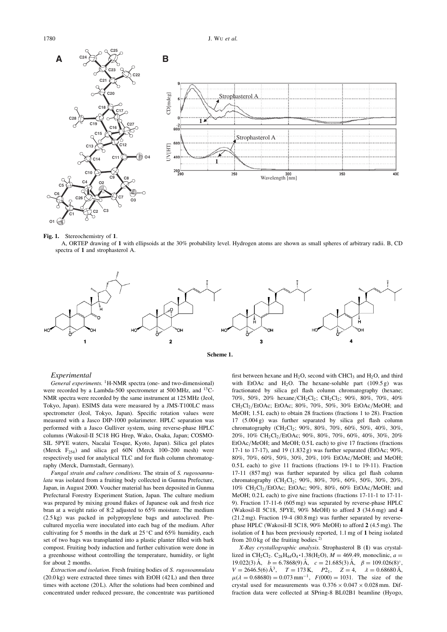1780 J. WU et al.



#### Fig. 1. Stereochemistry of 1.

A, ORTEP drawing of 1 with ellipsoids at the 30% probability level. Hydrogen atoms are shown as small spheres of arbitrary radii. B, CD spectra of 1 and strophasterol A.





#### Experimental

General experiments. <sup>1</sup>H-NMR spectra (one- and two-dimensional) were recorded by a Lambda-500 spectrometer at 500 MHz, and <sup>13</sup>C-NMR spectra were recorded by the same instrument at 125 MHz (Jeol, Tokyo, Japan). ESIMS data were measured by a JMS-T100LC mass spectrometer (Jeol, Tokyo, Japan). Specific rotation values were measured with a Jasco DIP-1000 polarimeter. HPLC separation was performed with a Jasco Gulliver system, using reverse-phase HPLC columns (Wakosil-II 5C18 HG Hrep, Wako, Osaka, Japan; COSMO-SIL 5PYE waters, Nacalai Tesque, Kyoto, Japan). Silica gel plates (Merck  $F_{254}$ ) and silica gel 60N (Merck 100–200 mesh) were respectively used for analytical TLC and for flash column chromatography (Merck, Darmstadt, Germany).

Fungal strain and culture conditions. The strain of S. rugosoannulata was isolated from a fruiting body collected in Gunma Prefecture, Japan, in August 2000. Voucher material has been deposited in Gunma Prefectural Forestry Experiment Station, Japan. The culture medium was prepared by mixing ground flakes of Japanese oak and fresh rice bran at a weight ratio of 8:2 adjusted to 65% moisture. The medium (2.5 kg) was packed in polypropylene bags and autoclaved. Precultured mycelia were inoculated into each bag of the medium. After cultivating for 5 months in the dark at  $25^{\circ}$ C and  $65\%$  humidity, each set of two bags was transplanted into a plastic planter filled with bark compost. Fruiting body induction and further cultivation were done in a greenhouse without controlling the temperature, humidity, or light for about 2 months.

Extraction and isolation. Fresh fruiting bodies of S. rugosoannulata  $(20.0 \text{ kg})$  were extracted three times with EtOH  $(42 \text{ L})$  and then three times with acetone (20 L). After the solutions had been combined and concentrated under reduced pressure, the concentrate was partitioned first between hexane and  $H_2O$ , second with CHCl<sub>3</sub> and  $H_2O$ , and third with EtOAc and H<sub>2</sub>O. The hexane-soluble part  $(109.5 g)$  was fractionated by silica gel flash column chromatography (hexane; 70%, 50%, 20% hexane/CH2Cl2; CH2Cl2; 90%, 80%, 70%, 40% CH2Cl2/EtOAc; EtOAc; 80%, 70%, 50%, 30% EtOAc/MeOH; and MeOH; 1.5 L each) to obtain 28 fractions (fractions 1 to 28). Fraction 17 (5.004 g) was further separated by silica gel flash column chromatography  $(CH_2Cl_2$ ; 90%, 80%, 70%, 60%, 50%, 40%, 30%, 20%, 10% CH2Cl2/EtOAc; 90%, 80%, 70%, 60%, 40%, 30%, 20% EtOAc/MeOH; and MeOH; 0.5 L each) to give 17 fractions (fractions 17-1 to 17-17), and 19 (1.832 g) was further separated (EtOAc; 90%, 80%, 70%, 60%, 50%, 30%, 20%, 10% EtOAc/MeOH; and MeOH; 0.5 L each) to give 11 fractions (fractions 19-1 to 19-11). Fraction 17-11 (857 mg) was further separated by silica gel flash column chromatography (CH<sub>2</sub>Cl<sub>2</sub>; 90%, 80%, 70%, 60%, 50%, 30%, 20%, 10% CH2Cl2/EtOAc; EtOAc; 90%, 80%, 60% EtOAc/MeOH; and MeOH; 0.2 L each) to give nine fractions (fractions 17-11-1 to 17-11- 9). Fraction 17-11-6 (605 mg) was separated by reverse-phase HPLC (Wakosil-II 5C18, 5PYE,  $90\%$  MeOH) to afford 3 (34.6 mg) and 4 (21.2 mg). Fraction 19-4 (80.8 mg) was further separated by reversephase HPLC (Wakosil-II 5C18, 90% MeOH) to afford 2 (4.5 mg). The isolation of 1 has been previously reported, 1.1 mg of 1 being isolated from  $20.0 \text{ kg}$  of the fruiting bodies.<sup>2)</sup>

X-Ray crystallographic analysis. Strophasterol B (1) was crystallized in CH<sub>2</sub>Cl<sub>2</sub>. C<sub>28</sub>H<sub>44</sub>O<sub>4</sub> · 1.38(H<sub>2</sub>O),  $M = 469.49$ , monoclinic,  $a =$ 19.022(3) Å,  $b = 6.7868(9)$  Å,  $c = 21.685(3)$  Å,  $\beta = 109.026(8)^\circ$ ,  $V = 2646.5(6) \text{ Å}^3$ ,  $T = 173 \text{ K}$ ,  $P2_1$ ,  $Z = 4$ ,  $\lambda = 0.68680 \text{ Å}$ ,  $\mu(\lambda = 0.68680) = 0.073$  mm<sup>-1</sup>,  $F(000) = 1031$ . The size of the crystal used for measurements was  $0.376 \times 0.047 \times 0.028$  mm. Diffraction data were collected at SPring-8 BL02B1 beamline (Hyogo,